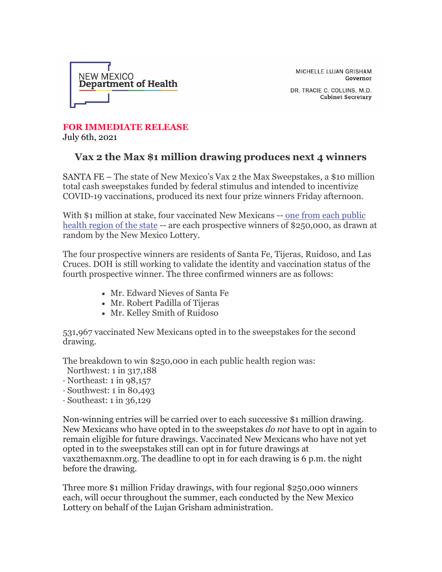

MICHELLE LUJAN GRISHAM Governor

DR. TRACIE C. COLLINS, M.D. **Cabinet Secretary** 

## **FOR IMMEDIATE RELEASE** July 6th, 2021

## **Vax 2 the Max \$1 million drawing produces next 4 winners**

SANTA FE – The state of New Mexico's Vax 2 the Max Sweepstakes, a \$10 million total cash sweepstakes funded by federal stimulus and intended to incentivize COVID-19 vaccinations, produced its next four prize winners Friday afternoon.

With \$1 million at stake, four vaccinated New Mexicans -- [one from each public](https://r20.rs6.net/tn.jsp?f=001Josv2krnlXcCrAJFdBGeeSoRlNiieKnIZS-XVfKITRggO8M-BMNfU47ha6oYPbmv4N27eXV2K21QeOZcqfoBbaITENsOaSeTd-D5aIgj0z0y5y1WFbuaX0Q03Kuav_Smq_1VUmHkDXhYpmQkpDsAcjOi4tJrmPjlmd-rNYmEPr0_jKrpMiiYalw4GdXxLnY-6OofwQYRubKj8-qCx8bALBe_9FR3wlKD&c=bh3IkI__u0Fcx8vKStWYBUtn7hd4PY8mOb-cHT6DKmrhtWqUDz6J3w==&ch=ZySVPv3Y7D5FM1LSSqn0bJXN4nmytOsXNz-ZW0E0phVO_JVnBVzVFg==)  [health region of the state](https://r20.rs6.net/tn.jsp?f=001Josv2krnlXcCrAJFdBGeeSoRlNiieKnIZS-XVfKITRggO8M-BMNfU47ha6oYPbmv4N27eXV2K21QeOZcqfoBbaITENsOaSeTd-D5aIgj0z0y5y1WFbuaX0Q03Kuav_Smq_1VUmHkDXhYpmQkpDsAcjOi4tJrmPjlmd-rNYmEPr0_jKrpMiiYalw4GdXxLnY-6OofwQYRubKj8-qCx8bALBe_9FR3wlKD&c=bh3IkI__u0Fcx8vKStWYBUtn7hd4PY8mOb-cHT6DKmrhtWqUDz6J3w==&ch=ZySVPv3Y7D5FM1LSSqn0bJXN4nmytOsXNz-ZW0E0phVO_JVnBVzVFg==) -- are each prospective winners of \$250,000, as drawn at random by the New Mexico Lottery.

The four prospective winners are residents of Santa Fe, Tijeras, Ruidoso, and Las Cruces. DOH is still working to validate the identity and vaccination status of the fourth prospective winner. The three confirmed winners are as follows:

- Mr. Edward Nieves of Santa Fe
- Mr. Robert Padilla of Tijeras
- Mr. Kelley Smith of Ruidoso

531,967 vaccinated New Mexicans opted in to the sweepstakes for the second drawing.

The breakdown to win \$250,000 in each public health region was:

- Northwest: 1 in 317,188
- $\cdot$  Northeast: 1 in 98,157
- $\cdot$  Southwest: 1 in 80.493
- $\cdot$  Southeast: 1 in 36,129

Non-winning entries will be carried over to each successive \$1 million drawing. New Mexicans who have opted in to the sweepstakes *do not* have to opt in again to remain eligible for future drawings. Vaccinated New Mexicans who have not yet opted in to the sweepstakes still can opt in for future drawings at vax2themaxnm.org. The deadline to opt in for each drawing is 6 p.m. the night before the drawing.

Three more \$1 million Friday drawings, with four regional \$250,000 winners each, will occur throughout the summer, each conducted by the New Mexico Lottery on behalf of the Lujan Grisham administration.